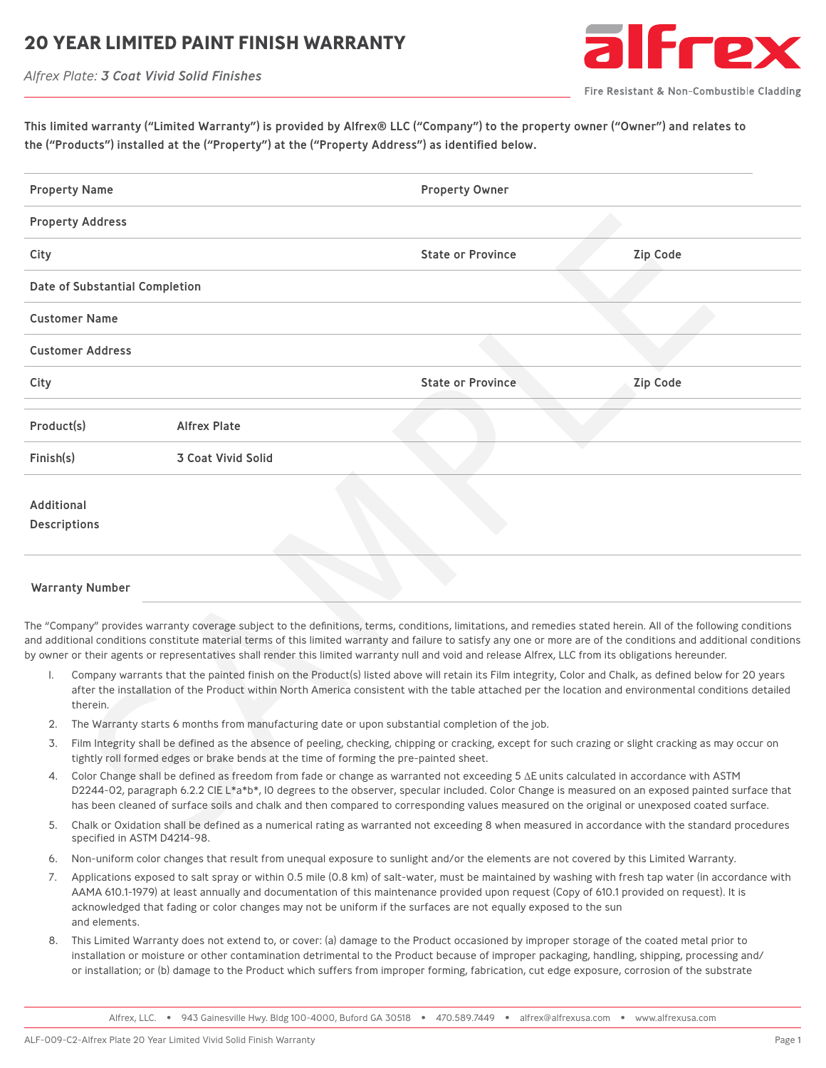### **20 YEAR LIMITED PAINT FINISH WARRANT**

*Alfrex Plate: 3 Coat Vivid Solid Finishes*



Fire Resistant & Non-Combustible Cladding

This limited warranty ("Limited Warranty") is provided by Alfrex® LLC ("Company") to the property owner ("Owner") and relates to the ("Products") installed at the ("Property") at the ("Property Address") as identified below.

| <b>Property Name</b>                                                                                                                                             |                                                                                                                                                                                                                                                                                                                                                                                                                                                  |                           | <b>Property Owner</b>                                                                                                                                                                                                                                                                                                                                                                                                                                                                                                                                                                                                                                     |                 |  |  |
|------------------------------------------------------------------------------------------------------------------------------------------------------------------|--------------------------------------------------------------------------------------------------------------------------------------------------------------------------------------------------------------------------------------------------------------------------------------------------------------------------------------------------------------------------------------------------------------------------------------------------|---------------------------|-----------------------------------------------------------------------------------------------------------------------------------------------------------------------------------------------------------------------------------------------------------------------------------------------------------------------------------------------------------------------------------------------------------------------------------------------------------------------------------------------------------------------------------------------------------------------------------------------------------------------------------------------------------|-----------------|--|--|
|                                                                                                                                                                  | <b>Property Address</b>                                                                                                                                                                                                                                                                                                                                                                                                                          |                           |                                                                                                                                                                                                                                                                                                                                                                                                                                                                                                                                                                                                                                                           |                 |  |  |
| City                                                                                                                                                             |                                                                                                                                                                                                                                                                                                                                                                                                                                                  |                           | <b>State or Province</b>                                                                                                                                                                                                                                                                                                                                                                                                                                                                                                                                                                                                                                  | <b>Zip Code</b> |  |  |
| Date of Substantial Completion                                                                                                                                   |                                                                                                                                                                                                                                                                                                                                                                                                                                                  |                           |                                                                                                                                                                                                                                                                                                                                                                                                                                                                                                                                                                                                                                                           |                 |  |  |
|                                                                                                                                                                  | <b>Customer Name</b>                                                                                                                                                                                                                                                                                                                                                                                                                             |                           |                                                                                                                                                                                                                                                                                                                                                                                                                                                                                                                                                                                                                                                           |                 |  |  |
|                                                                                                                                                                  | <b>Customer Address</b>                                                                                                                                                                                                                                                                                                                                                                                                                          |                           |                                                                                                                                                                                                                                                                                                                                                                                                                                                                                                                                                                                                                                                           |                 |  |  |
| City                                                                                                                                                             |                                                                                                                                                                                                                                                                                                                                                                                                                                                  |                           | <b>State or Province</b>                                                                                                                                                                                                                                                                                                                                                                                                                                                                                                                                                                                                                                  | <b>Zip Code</b> |  |  |
| Product(s)                                                                                                                                                       |                                                                                                                                                                                                                                                                                                                                                                                                                                                  | <b>Alfrex Plate</b>       |                                                                                                                                                                                                                                                                                                                                                                                                                                                                                                                                                                                                                                                           |                 |  |  |
| Finish(s)                                                                                                                                                        |                                                                                                                                                                                                                                                                                                                                                                                                                                                  | <b>3 Coat Vivid Solid</b> |                                                                                                                                                                                                                                                                                                                                                                                                                                                                                                                                                                                                                                                           |                 |  |  |
| <b>Additional</b>                                                                                                                                                | <b>Descriptions</b><br><b>Warranty Number</b>                                                                                                                                                                                                                                                                                                                                                                                                    |                           |                                                                                                                                                                                                                                                                                                                                                                                                                                                                                                                                                                                                                                                           |                 |  |  |
| I.                                                                                                                                                               |                                                                                                                                                                                                                                                                                                                                                                                                                                                  |                           | The "Company" provides warranty coverage subject to the definitions, terms, conditions, limitations, and remedies stated herein. All of the following conditions<br>and additional conditions constitute material terms of this limited warranty and failure to satisfy any one or more are of the conditions and additional conditions<br>by owner or their agents or representatives shall render this limited warranty null and void and release Alfrex, LLC from its obligations hereunder.<br>Company warrants that the painted finish on the Product(s) listed above will retain its Film integrity, Color and Chalk, as defined below for 20 years |                 |  |  |
| after the installation of the Product within North America consistent with the table attached per the location and environmental conditions detailed<br>therein. |                                                                                                                                                                                                                                                                                                                                                                                                                                                  |                           |                                                                                                                                                                                                                                                                                                                                                                                                                                                                                                                                                                                                                                                           |                 |  |  |
| 2.                                                                                                                                                               | The Warranty starts 6 months from manufacturing date or upon substantial completion of the job.                                                                                                                                                                                                                                                                                                                                                  |                           |                                                                                                                                                                                                                                                                                                                                                                                                                                                                                                                                                                                                                                                           |                 |  |  |
| 3.                                                                                                                                                               | Film Integrity shall be defined as the absence of peeling, checking, chipping or cracking, except for such crazing or slight cracking as may occur on<br>tightly roll formed edges or brake bends at the time of forming the pre-painted sheet.                                                                                                                                                                                                  |                           |                                                                                                                                                                                                                                                                                                                                                                                                                                                                                                                                                                                                                                                           |                 |  |  |
| 4.                                                                                                                                                               | Color Change shall be defined as freedom from fade or change as warranted not exceeding 5 $\Delta E$ units calculated in accordance with ASTM<br>D2244-02, paragraph 6.2.2 CIE L*a*b*, IO degrees to the observer, specular included. Color Change is measured on an exposed painted surface that<br>has been cleaned of surface soils and chalk and then compared to corresponding values measured on the original or unexposed coated surface. |                           |                                                                                                                                                                                                                                                                                                                                                                                                                                                                                                                                                                                                                                                           |                 |  |  |
| 5.                                                                                                                                                               | specified in ASTM D4214-98.                                                                                                                                                                                                                                                                                                                                                                                                                      |                           | Chalk or Oxidation shall be defined as a numerical rating as warranted not exceeding 8 when measured in accordance with the standard procedures                                                                                                                                                                                                                                                                                                                                                                                                                                                                                                           |                 |  |  |

#### Warranty Number

- 1. Company warrants that the painted finish on the Product(s) listed above will retain its Film integrity, Color and Chalk, as defined below for 20 years after the installation of the Product within North America consistent with the table attached per the location and environmental conditions detailed therein.
- 2. The Warranty starts 6 months from manufacturing date or upon substantial completion of the job.
- 3. Film Integrity shall be defined as the absence of peeling, checking, chipping or cracking, except for such crazing or slight cracking as may occur on tightly roll formed edges or brake bends at the time of forming the pre-painted sheet.
- 4. Color Change shall be defined as freedom from fade or change as warranted not exceeding 5 ΔE units calculated in accordance with ASTM D2244-02, paragraph 6.2.2 CIE L\*a\*b\*, IO degrees to the observer, specular included. Color Change is measured on an exposed painted surface that has been cleaned of surface soils and chalk and then compared to corresponding values measured on the original or unexposed coated surface.
- 5. Chalk or Oxidation shall be defined as a numerical rating as warranted not exceeding 8 when measured in accordance with the standard procedures specified in ASTM D4214-98.
- 6. Non-uniform color changes that result from unequal exposure to sunlight and/or the elements are not covered by this Limited Warranty.
- 7. Applications exposed to salt spray or within 0.5 mile (0.8 km) of salt-water, must be maintained by washing with fresh tap water (in accordance with AAMA 610.1-1979) at least annually and documentation of this maintenance provided upon request (Copy of 610.1 provided on request). It is acknowledged that fading or color changes may not be uniform if the surfaces are not equally exposed to the sun and elements.
- 8. This Limited Warranty does not extend to, or cover: (a) damage to the Product occasioned by improper storage of the coated metal prior to installation or moisture or other contamination detrimental to the Product because of improper packaging, handling, shipping, processing and/ or installation; or (b) damage to the Product which suffers from improper forming, fabrication, cut edge exposure, corrosion of the substrate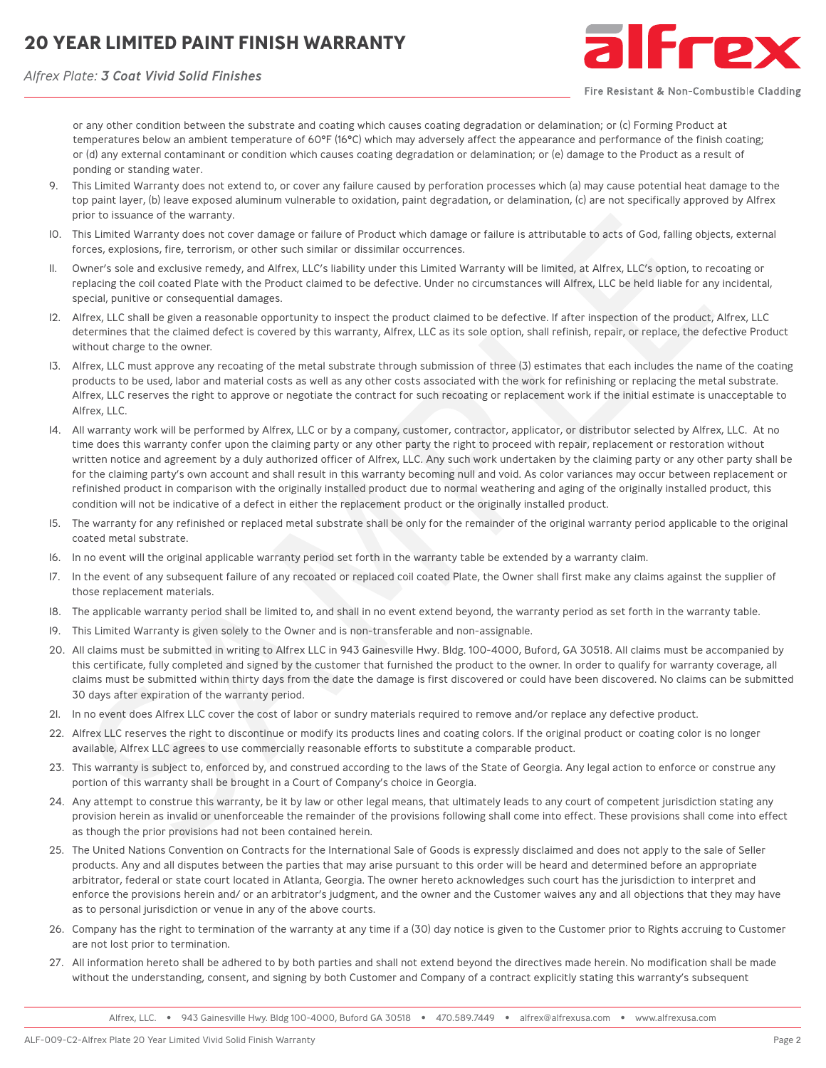## **20 YEAR LIMITED PAINT FINISH WARRANT**

#### *Alfrex Plate: 3 Coat Vivid Solid Finishes*



Fire Resistant & Non-Combustible Cladding

or any other condition between the substrate and coating which causes coating degradation or delamination; or (c) Forming Product at temperatures below an ambient temperature of 60°F (16°C) which may adversely affect the appearance and performance of the finish coating; or (d) any external contaminant or condition which causes coating degradation or delamination; or (e) damage to the Product as a result of ponding or standing water.

- 9. This Limited Warranty does not extend to, or cover any failure caused by perforation processes which (a) may cause potential heat damage to the top paint layer, (b) leave exposed aluminum vulnerable to oxidation, paint degradation, or delamination, (c) are not specifically approved by Alfrex prior to issuance of the warranty.
- 10. This Limited Warranty does not cover damage or failure of Product which damage or failure is attributable to acts of God, falling objects, external forces, explosions, fire, terrorism, or other such similar or dissimilar occurrences.
- II. Owner's sole and exclusive remedy, and Alfrex, LLC's liability under this Limited Warranty will be limited, at Alfrex, LLC's option, to recoating or replacing the coil coated Plate with the Product claimed to be defective. Under no circumstances will Alfrex, LLC be held liable for any incidental, special, punitive or consequential damages.
- 12. Alfrex, LLC shall be given a reasonable opportunity to inspect the product claimed to be defective. If after inspection of the product, Alfrex, LLC determines that the claimed defect is covered by this warranty, Alfrex, LLC as its sole option, shall refinish, repair, or replace, the defective Product without charge to the owner.
- 13. Alfrex, LLC must approve any recoating of the metal substrate through submission of three (3) estimates that each includes the name of the coating products to be used, labor and material costs as well as any other costs associated with the work for refinishing or replacing the metal substrate. Alfrex, LLC reserves the right to approve or negotiate the contract for such recoating or replacement work if the initial estimate is unacceptable to Alfrex, LLC.
- 14. All warranty work will be performed by Alfrex, LLC or by a company, customer, contractor, applicator, or distributor selected by Alfrex, LLC. At no time does this warranty confer upon the claiming party or any other party the right to proceed with repair, replacement or restoration without written notice and agreement by a duly authorized officer of Alfrex, LLC. Any such work undertaken by the claiming party or any other party shall be for the claiming party's own account and shall result in this warranty becoming null and void. As color variances may occur between replacement or refinished product in comparison with the originally installed product due to normal weathering and aging of the originally installed product, this condition will not be indicative of a defect in either the replacement product or the originally installed product. Is tunited Warrany) does not cover damage or flaire of Product with damage or fallure is attributable to acts of Cod, falling co) substitutions and societies and orchesters. The substitution of the system of the system of
- 15. The warranty for any refinished or replaced metal substrate shall be only for the remainder of the original warranty period applicable to the original coated metal substrate.
- 16. In no event will the original applicable warranty period set forth in the warranty table be extended by a warranty claim.
- 17. In the event of any subsequent failure of any recoated or replaced coil coated Plate, the Owner shall first make any claims against the supplier of those replacement materials.
- 18. The applicable warranty period shall be limited to, and shall in no event extend beyond, the warranty period as set forth in the warranty table.
- 19. This Limited Warranty is given solely to the Owner and is non-transferable and non-assignable.
- 20. All claims must be submitted in writing to Alfrex LLC in 943 Gainesville Hwy. Bldg. 100-4000, Buford, GA 30518. All claims must be accompanied by this certificate, fully completed and signed by the customer that furnished the product to the owner. In order to qualify for warranty coverage, all claims must be submitted within thirty days from the date the damage is first discovered or could have been discovered. No claims can be submitted 30 days after expiration of the warranty period.
- 21. In no event does Alfrex LLC cover the cost of labor or sundry materials required to remove and/or replace any defective product.
- 22. Alfrex LLC reserves the right to discontinue or modify its products lines and coating colors. If the original product or coating color is no longer available, Alfrex LLC agrees to use commercially reasonable efforts to substitute a comparable product.
- 23. This warranty is subject to, enforced by, and construed according to the laws of the State of Georgia. Any legal action to enforce or construe any portion of this warranty shall be brought in a Court of Company's choice in Georgia.
- 24. Any attempt to construe this warranty, be it by law or other legal means, that ultimately leads to any court of competent jurisdiction stating any provision herein as invalid or unenforceable the remainder of the provisions following shall come into effect. These provisions shall come into effect as though the prior provisions had not been contained herein.
- 25. The United Nations Convention on Contracts for the International Sale of Goods is expressly disclaimed and does not apply to the sale of Seller products. Any and all disputes between the parties that may arise pursuant to this order will be heard and determined before an appropriate arbitrator, federal or state court located in Atlanta, Georgia. The owner hereto acknowledges such court has the jurisdiction to interpret and enforce the provisions herein and/ or an arbitrator's judgment, and the owner and the Customer waives any and all objections that they may have as to personal jurisdiction or venue in any of the above courts.
- 26. Company has the right to termination of the warranty at any time if a (30) day notice is given to the Customer prior to Rights accruing to Customer are not lost prior to termination.
- 27. All information hereto shall be adhered to by both parties and shall not extend beyond the directives made herein. No modification shall be made without the understanding, consent, and signing by both Customer and Company of a contract explicitly stating this warranty's subsequent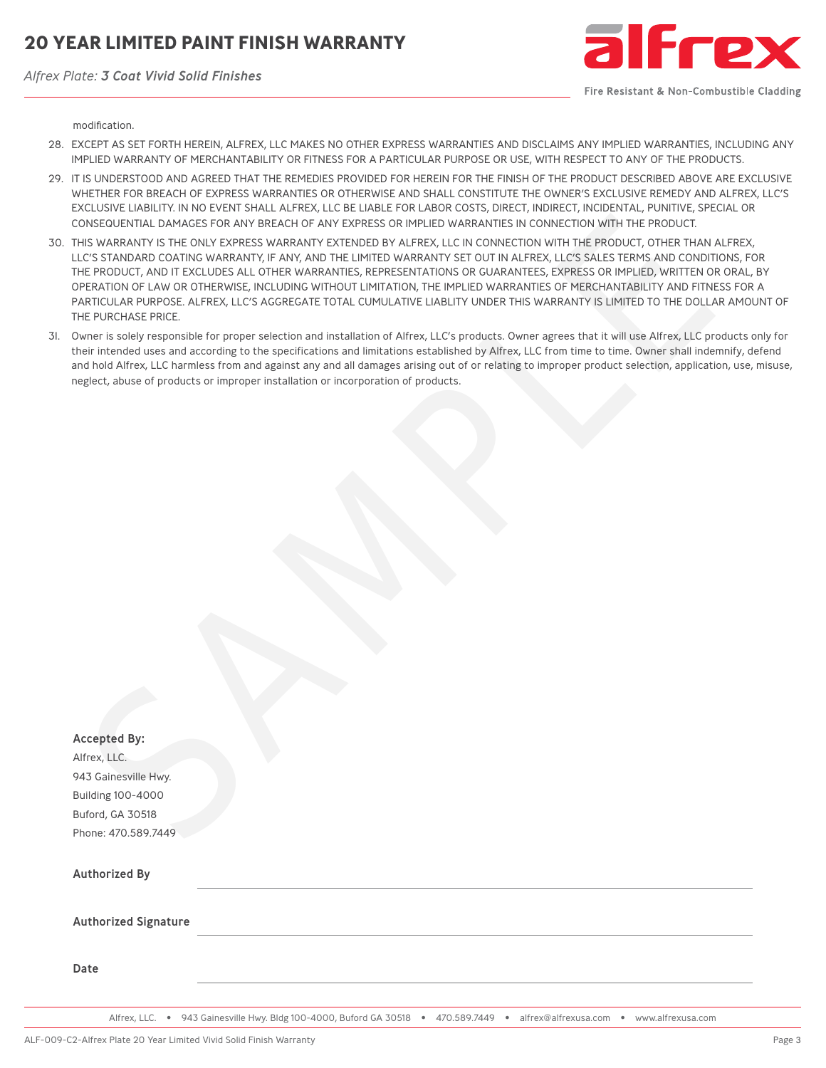## **20 YEAR LIMITED PAINT FINISH WARRANTY**

*Alfrex Plate: 3 Coat Vivid Solid Finishes*



Fire Resistant & Non-Combustible Cladding

modification.

- 28. EXCEPT AS SET FORTH HEREIN, ALFREX, LLC MAKES NO OTHER EXPRESS WARRANTIES AND DISCLAIMS ANY IMPLIED WARRANTIES, INCLUDING ANY IMPLIED WARRANTY OF MERCHANTABILITY OR FITNESS FOR A PARTICULAR PURPOSE OR USE, WITH RESPECT TO ANY OF THE PRODUCTS.
- 29. IT IS UNDERSTOOD AND AGREED THAT THE REMEDIES PROVIDED FOR HEREIN FOR THE FINISH OF THE PRODUCT DESCRIBED ABOVE ARE EXCLUSIVE WHETHER FOR BREACH OF EXPRESS WARRANTIES OR OTHERWISE AND SHALL CONSTITUTE THE OWNER'S EXCLUSIVE REMEDY AND ALFREX, LLC'S EXCLUSIVE LIABILITY. IN NO EVENT SHALL ALFREX, LLC BE LIABLE FOR LABOR COSTS, DIRECT, INDIRECT, INCIDENTAL, PUNITIVE, SPECIAL OR CONSEQUENTIAL DAMAGES FOR ANY BREACH OF ANY EXPRESS OR IMPLIED WARRANTIES IN CONNECTION WITH THE PRODUCT.
- 30. THIS WARRANTY IS THE ONLY EXPRESS WARRANTY EXTENDED BY ALFREX, LLC IN CONNECTION WITH THE PRODUCT, OTHER THAN ALFREX, LLC'S STANDARD COATING WARRANTY, IF ANY, AND THE LIMITED WARRANTY SET OUT IN ALFREX, LLC'S SALES TERMS AND CONDITIONS, FOR THE PRODUCT, AND IT EXCLUDES ALL OTHER WARRANTIES, REPRESENTATIONS OR GUARANTEES, EXPRESS OR IMPLIED, WRITTEN OR ORAL, BY OPERATION OF LAW OR OTHERWISE, INCLUDING WITHOUT LIMITATION, THE IMPLIED WARRANTIES OF MERCHANTABILITY AND FITNESS FOR A PARTICULAR PURPOSE. ALFREX, LLC'S AGGREGATE TOTAL CUMULATIVE LIABLITY UNDER THIS WARRANTY IS LIMITED TO THE DOLLAR AMOUNT OF THE PURCHASE PRICE.
- 31. Owner is solely responsible for proper selection and installation of Alfrex, LLC's products. Owner agrees that it will use Alfrex, LLC products only for their intended uses and according to the specifications and limitations established by Alfrex, LLC from time to time. Owner shall indemnify, defend and hold Alfrex, LLC harmless from and against any and all damages arising out of or relating to improper product selection, application, use, misuse, neglect, abuse of products or improper installation or incorporation of products.

| CONSEQUENTIAL DAMAGES FOR ANY BREACH OF ANY EXPRESS OR IMPLIED WARRANTIES IN CONNECTION WITH THE PRODUCT.                                                                                                                                                                                                                                                                                                                                                                                                                                                                                                                                                |  |
|----------------------------------------------------------------------------------------------------------------------------------------------------------------------------------------------------------------------------------------------------------------------------------------------------------------------------------------------------------------------------------------------------------------------------------------------------------------------------------------------------------------------------------------------------------------------------------------------------------------------------------------------------------|--|
| THIS WARRANTY IS THE ONLY EXPRESS WARRANTY EXTENDED BY ALFREX, LLC IN CONNECTION WITH THE PRODUCT, OTHER THAN ALFREX,<br>LLC'S STANDARD COATING WARRANTY, IF ANY, AND THE LIMITED WARRANTY SET OUT IN ALFREX, LLC'S SALES TERMS AND CONDITIONS, FC<br>THE PRODUCT, AND IT EXCLUDES ALL OTHER WARRANTIES, REPRESENTATIONS OR GUARANTEES, EXPRESS OR IMPLIED, WRITTEN OR ORAL,<br>OPERATION OF LAW OR OTHERWISE, INCLUDING WITHOUT LIMITATION, THE IMPLIED WARRANTIES OF MERCHANTABILITY AND FITNESS FOR<br>PARTICULAR PURPOSE. ALFREX, LLC'S AGGREGATE TOTAL CUMULATIVE LIABLITY UNDER THIS WARRANTY IS LIMITED TO THE DOLLAR AMOU<br>THE PURCHASE PRICE. |  |
| Owner is solely responsible for proper selection and installation of Alfrex, LLC's products. Owner agrees that it will use Alfrex, LLC products o<br>their intended uses and according to the specifications and limitations established by Alfrex, LLC from time to time. Owner shall indemnify, de<br>and hold Alfrex, LLC harmless from and against any and all damages arising out of or relating to improper product selection, application, use,<br>neglect, abuse of products or improper installation or incorporation of products.                                                                                                              |  |
|                                                                                                                                                                                                                                                                                                                                                                                                                                                                                                                                                                                                                                                          |  |
|                                                                                                                                                                                                                                                                                                                                                                                                                                                                                                                                                                                                                                                          |  |
|                                                                                                                                                                                                                                                                                                                                                                                                                                                                                                                                                                                                                                                          |  |
|                                                                                                                                                                                                                                                                                                                                                                                                                                                                                                                                                                                                                                                          |  |
|                                                                                                                                                                                                                                                                                                                                                                                                                                                                                                                                                                                                                                                          |  |
|                                                                                                                                                                                                                                                                                                                                                                                                                                                                                                                                                                                                                                                          |  |
| <b>Accepted By:</b>                                                                                                                                                                                                                                                                                                                                                                                                                                                                                                                                                                                                                                      |  |
| Alfrex, LLC.<br>943 Gainesville Hwy.                                                                                                                                                                                                                                                                                                                                                                                                                                                                                                                                                                                                                     |  |
| Building 100-4000                                                                                                                                                                                                                                                                                                                                                                                                                                                                                                                                                                                                                                        |  |
| Buford, GA 30518                                                                                                                                                                                                                                                                                                                                                                                                                                                                                                                                                                                                                                         |  |
| Phone: 470.589.7449                                                                                                                                                                                                                                                                                                                                                                                                                                                                                                                                                                                                                                      |  |
| <b>Authorized By</b>                                                                                                                                                                                                                                                                                                                                                                                                                                                                                                                                                                                                                                     |  |
|                                                                                                                                                                                                                                                                                                                                                                                                                                                                                                                                                                                                                                                          |  |
| <b>Authorized Signature</b>                                                                                                                                                                                                                                                                                                                                                                                                                                                                                                                                                                                                                              |  |
| Date                                                                                                                                                                                                                                                                                                                                                                                                                                                                                                                                                                                                                                                     |  |
|                                                                                                                                                                                                                                                                                                                                                                                                                                                                                                                                                                                                                                                          |  |

Alfrex, LLC. • 943 Gainesville Hwy. Bldg 100-4000, Buford GA 30518 • 470.589.7449 • alfrex@alfrexusa.com • www.alfrexusa.com